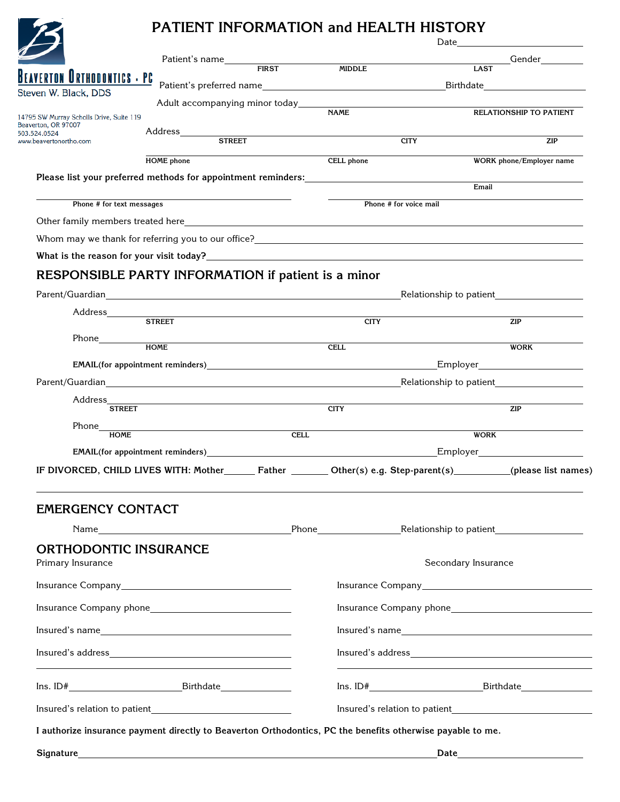# **PATIENT INFORMATION and HEALTH HISTORY**

|                                          | PATIENT INFORMATION and HEALTH HISTORY                                                                                                                                                                                                                                                                                                                                                                               |                          |                         | Date <u>_______________</u>    |  |
|------------------------------------------|----------------------------------------------------------------------------------------------------------------------------------------------------------------------------------------------------------------------------------------------------------------------------------------------------------------------------------------------------------------------------------------------------------------------|--------------------------|-------------------------|--------------------------------|--|
|                                          | Patient's name FIRST MIDDLE                                                                                                                                                                                                                                                                                                                                                                                          |                          | <b>LAST</b>             | <b>Example 2018</b> Gender     |  |
| <b>EAVERTON URTHODONTICS - PC</b>        |                                                                                                                                                                                                                                                                                                                                                                                                                      |                          |                         |                                |  |
| Steven W. Black, DDS                     |                                                                                                                                                                                                                                                                                                                                                                                                                      |                          |                         |                                |  |
| 14795 SW Murray Scholls Drive, Suite 119 |                                                                                                                                                                                                                                                                                                                                                                                                                      | <b>NAME</b>              |                         | <b>RELATIONSHIP TO PATIENT</b> |  |
| Beaverton, OR 97007<br>503.524.0524      | Address_________<br><b>STREET</b>                                                                                                                                                                                                                                                                                                                                                                                    |                          |                         |                                |  |
| www.beavertonortho.com                   |                                                                                                                                                                                                                                                                                                                                                                                                                      |                          | <b>CITY</b>             | <b>ZIP</b>                     |  |
|                                          | <b>HOME</b> phone                                                                                                                                                                                                                                                                                                                                                                                                    | CELL phone               |                         | WORK phone/Employer name       |  |
|                                          | Please list your preferred methods for appointment reminders: New York Channel Please list your preferred methods for appointment reminders:                                                                                                                                                                                                                                                                         |                          | Email                   |                                |  |
| Phone # for text messages                |                                                                                                                                                                                                                                                                                                                                                                                                                      |                          | Phone # for voice mail  |                                |  |
|                                          |                                                                                                                                                                                                                                                                                                                                                                                                                      |                          |                         |                                |  |
|                                          | Whom may we thank for referring you to our office?<br><u> University</u> management and the management of the management of the management of the management of the management of the management of the management of the management                                                                                                                                                                                 |                          |                         |                                |  |
|                                          |                                                                                                                                                                                                                                                                                                                                                                                                                      |                          |                         |                                |  |
|                                          | RESPONSIBLE PARTY INFORMATION if patient is a minor                                                                                                                                                                                                                                                                                                                                                                  |                          |                         |                                |  |
|                                          |                                                                                                                                                                                                                                                                                                                                                                                                                      |                          |                         |                                |  |
|                                          |                                                                                                                                                                                                                                                                                                                                                                                                                      |                          | Relationship to patient |                                |  |
|                                          |                                                                                                                                                                                                                                                                                                                                                                                                                      | <b>CITY</b>              |                         | ZIP                            |  |
|                                          |                                                                                                                                                                                                                                                                                                                                                                                                                      |                          |                         |                                |  |
|                                          | HOME                                                                                                                                                                                                                                                                                                                                                                                                                 | <b>CELL</b>              |                         | <b>WORK</b>                    |  |
|                                          |                                                                                                                                                                                                                                                                                                                                                                                                                      |                          |                         |                                |  |
|                                          |                                                                                                                                                                                                                                                                                                                                                                                                                      |                          |                         |                                |  |
| <b>STREET</b>                            |                                                                                                                                                                                                                                                                                                                                                                                                                      | <b>CITY</b>              |                         | ZIP                            |  |
|                                          |                                                                                                                                                                                                                                                                                                                                                                                                                      | $\overline{\text{CELL}}$ |                         |                                |  |
| <b>HOME</b>                              |                                                                                                                                                                                                                                                                                                                                                                                                                      |                          | <b>WORK</b>             |                                |  |
|                                          |                                                                                                                                                                                                                                                                                                                                                                                                                      |                          |                         |                                |  |
|                                          | IF DIVORCED, CHILD LIVES WITH: Mother________ Father _________ Other(s) e.g. Step-parent(s) _________(please list names)                                                                                                                                                                                                                                                                                             |                          |                         |                                |  |
| <b>EMERGENCY CONTACT</b>                 |                                                                                                                                                                                                                                                                                                                                                                                                                      |                          |                         |                                |  |
|                                          |                                                                                                                                                                                                                                                                                                                                                                                                                      |                          |                         |                                |  |
| <b>ORTHODONTIC INSURANCE</b>             |                                                                                                                                                                                                                                                                                                                                                                                                                      |                          |                         |                                |  |
| Primary Insurance                        |                                                                                                                                                                                                                                                                                                                                                                                                                      |                          | Secondary Insurance     |                                |  |
|                                          |                                                                                                                                                                                                                                                                                                                                                                                                                      |                          |                         |                                |  |
| Insurance Company phone                  |                                                                                                                                                                                                                                                                                                                                                                                                                      |                          |                         |                                |  |
|                                          |                                                                                                                                                                                                                                                                                                                                                                                                                      |                          |                         |                                |  |
|                                          |                                                                                                                                                                                                                                                                                                                                                                                                                      |                          | Insured's name          |                                |  |
|                                          | $In sure d's address \begin{tabular}{c} \hline \rule[1mm]{4mm}{6mm} \rule[1mm]{4mm}{6mm} \rule[1mm]{4mm}{6mm} \rule[1mm]{4mm}{6mm} \rule[1mm]{4mm}{6mm} \rule[1mm]{4mm}{6mm} \rule[1mm]{4mm}{6mm} \rule[1mm]{4mm}{6mm} \rule[1mm]{4mm}{6mm} \rule[1mm]{4mm}{6mm} \rule[1mm]{4mm}{6mm} \rule[1mm]{4mm}{6mm} \rule[1mm]{4mm}{6mm} \rule[1mm]{4mm}{6mm} \rule[1mm]{4mm}{6mm} \rule[1mm]{4mm}{6mm} \rule[1mm]{4mm}{6mm}$ |                          |                         |                                |  |
|                                          |                                                                                                                                                                                                                                                                                                                                                                                                                      |                          | $Ins. ID#$ Eirthdate    |                                |  |
|                                          |                                                                                                                                                                                                                                                                                                                                                                                                                      |                          |                         |                                |  |
|                                          | I authorize insurance payment directly to Beaverton Orthodontics, PC the benefits otherwise payable to me.                                                                                                                                                                                                                                                                                                           |                          |                         |                                |  |
|                                          |                                                                                                                                                                                                                                                                                                                                                                                                                      |                          |                         |                                |  |
|                                          |                                                                                                                                                                                                                                                                                                                                                                                                                      |                          |                         |                                |  |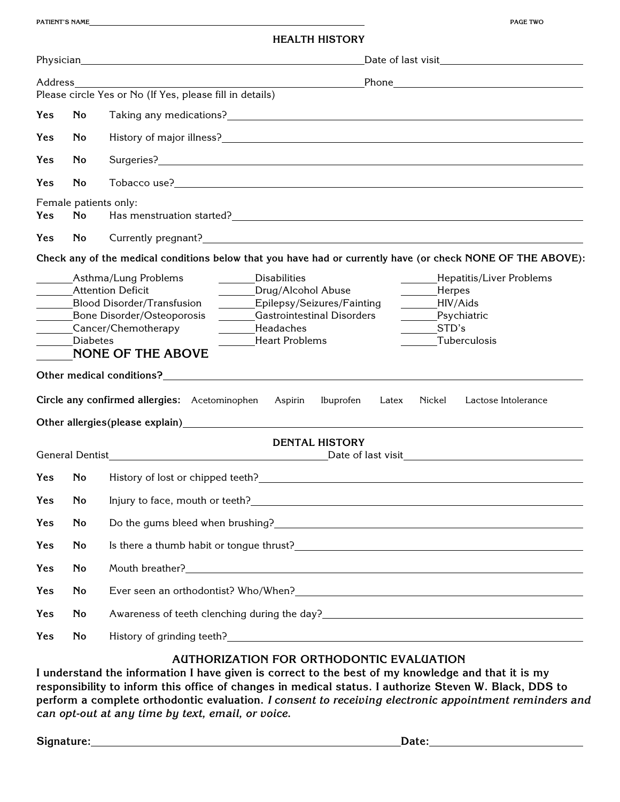| <b>HEALTH HISTORY</b> |  |
|-----------------------|--|
|-----------------------|--|

| Address                                                                                                                                                                                                                                                                                                                                                                                                                                                                                                                                                                                                                                                                                                                    |                             |                                                                                                                                                                                                                                       |  |  |  |  |  |
|----------------------------------------------------------------------------------------------------------------------------------------------------------------------------------------------------------------------------------------------------------------------------------------------------------------------------------------------------------------------------------------------------------------------------------------------------------------------------------------------------------------------------------------------------------------------------------------------------------------------------------------------------------------------------------------------------------------------------|-----------------------------|---------------------------------------------------------------------------------------------------------------------------------------------------------------------------------------------------------------------------------------|--|--|--|--|--|
|                                                                                                                                                                                                                                                                                                                                                                                                                                                                                                                                                                                                                                                                                                                            |                             | Please circle Yes or No (If Yes, please fill in details)                                                                                                                                                                              |  |  |  |  |  |
| <b>Yes</b>                                                                                                                                                                                                                                                                                                                                                                                                                                                                                                                                                                                                                                                                                                                 | <b>No</b>                   |                                                                                                                                                                                                                                       |  |  |  |  |  |
| Yes                                                                                                                                                                                                                                                                                                                                                                                                                                                                                                                                                                                                                                                                                                                        | <b>No</b>                   |                                                                                                                                                                                                                                       |  |  |  |  |  |
| Yes                                                                                                                                                                                                                                                                                                                                                                                                                                                                                                                                                                                                                                                                                                                        | <b>No</b>                   |                                                                                                                                                                                                                                       |  |  |  |  |  |
| Yes                                                                                                                                                                                                                                                                                                                                                                                                                                                                                                                                                                                                                                                                                                                        | No                          |                                                                                                                                                                                                                                       |  |  |  |  |  |
| Yes                                                                                                                                                                                                                                                                                                                                                                                                                                                                                                                                                                                                                                                                                                                        | Female patients only:<br>No |                                                                                                                                                                                                                                       |  |  |  |  |  |
| Yes                                                                                                                                                                                                                                                                                                                                                                                                                                                                                                                                                                                                                                                                                                                        | No.                         |                                                                                                                                                                                                                                       |  |  |  |  |  |
| Check any of the medical conditions below that you have had or currently have (or check NONE OF THE ABOVE):                                                                                                                                                                                                                                                                                                                                                                                                                                                                                                                                                                                                                |                             |                                                                                                                                                                                                                                       |  |  |  |  |  |
| <b>Attention Deficit</b><br>Drug/Alcohol Abuse<br>_______Herpes<br>Epilepsy/Seizures/Fainting<br>HIV/Aids<br><b>Blood Disorder/Transfusion</b><br>Psychiatric<br><b>Gastrointestinal Disorders</b><br>Bone Disorder/Osteoporosis<br>Cancer/Chemotherapy<br>STD's<br>Headaches<br>Tuberculosis<br><b>Diabetes</b><br><b>Heart Problems</b><br><b>NONE OF THE ABOVE</b><br>Other medical conditions? Department of the conditions of the conditions of the conditions of the conditions of the conditions of the conditions of the conditions of the conditions of the conditions of the conditions of th<br>Circle any confirmed allergies: Acetominophen<br>Nickel<br>Lactose Intolerance<br>Aspirin<br>Ibuprofen<br>Latex |                             |                                                                                                                                                                                                                                       |  |  |  |  |  |
|                                                                                                                                                                                                                                                                                                                                                                                                                                                                                                                                                                                                                                                                                                                            |                             |                                                                                                                                                                                                                                       |  |  |  |  |  |
| <b>DENTAL HISTORY</b>                                                                                                                                                                                                                                                                                                                                                                                                                                                                                                                                                                                                                                                                                                      |                             |                                                                                                                                                                                                                                       |  |  |  |  |  |
| <b>Yes</b>                                                                                                                                                                                                                                                                                                                                                                                                                                                                                                                                                                                                                                                                                                                 | <b>No</b>                   | History of lost or chipped teeth? The material contract of the state of the state of the state of the state of the state of the state of the state of the state of the state of the state of the state of the state of the sta        |  |  |  |  |  |
| Yes                                                                                                                                                                                                                                                                                                                                                                                                                                                                                                                                                                                                                                                                                                                        |                             | No Injury to face, mouth or teeth?<br>No Injury to face, mouth or teeth?                                                                                                                                                              |  |  |  |  |  |
| Yes                                                                                                                                                                                                                                                                                                                                                                                                                                                                                                                                                                                                                                                                                                                        | <b>No</b>                   | Do the gums bleed when brushing?<br><u> Loose and the gums bleed when brushing?</u>                                                                                                                                                   |  |  |  |  |  |
| Yes                                                                                                                                                                                                                                                                                                                                                                                                                                                                                                                                                                                                                                                                                                                        | No                          |                                                                                                                                                                                                                                       |  |  |  |  |  |
| Yes                                                                                                                                                                                                                                                                                                                                                                                                                                                                                                                                                                                                                                                                                                                        | No                          |                                                                                                                                                                                                                                       |  |  |  |  |  |
| Yes                                                                                                                                                                                                                                                                                                                                                                                                                                                                                                                                                                                                                                                                                                                        | No                          |                                                                                                                                                                                                                                       |  |  |  |  |  |
| Yes                                                                                                                                                                                                                                                                                                                                                                                                                                                                                                                                                                                                                                                                                                                        | No                          | Awareness of teeth clenching during the day?<br><u> and the subsequence of the subsequence</u> of the subsequence of the subsequence of the subsequence of the subsequence of the subsequence of the subsequence of the subsequence o |  |  |  |  |  |
| Yes                                                                                                                                                                                                                                                                                                                                                                                                                                                                                                                                                                                                                                                                                                                        | <b>No</b>                   |                                                                                                                                                                                                                                       |  |  |  |  |  |
|                                                                                                                                                                                                                                                                                                                                                                                                                                                                                                                                                                                                                                                                                                                            |                             |                                                                                                                                                                                                                                       |  |  |  |  |  |

## **AUTHORIZATION FOR ORTHODONTIC EVALUATION**

**I understand the information I have given is correct to the best of my knowledge and that it is my responsibility to inform this office of changes in medical status. I authorize Steven W. Black, DDS to perform a complete orthodontic evaluation.** *I consent to receiving electronic appointment reminders and can opt-out at any time by text, email, or voice.*

Signature: Date: Date: Date: Date: Date: Date: Date: Date: Date: Date: Date: Date: Date: Date: Date: Date: Date: Date: Date: Date: Date: Date: Date: Date: Date: Date: Date: Date: Date: Date: Date: Date: Date: Date: Date: D